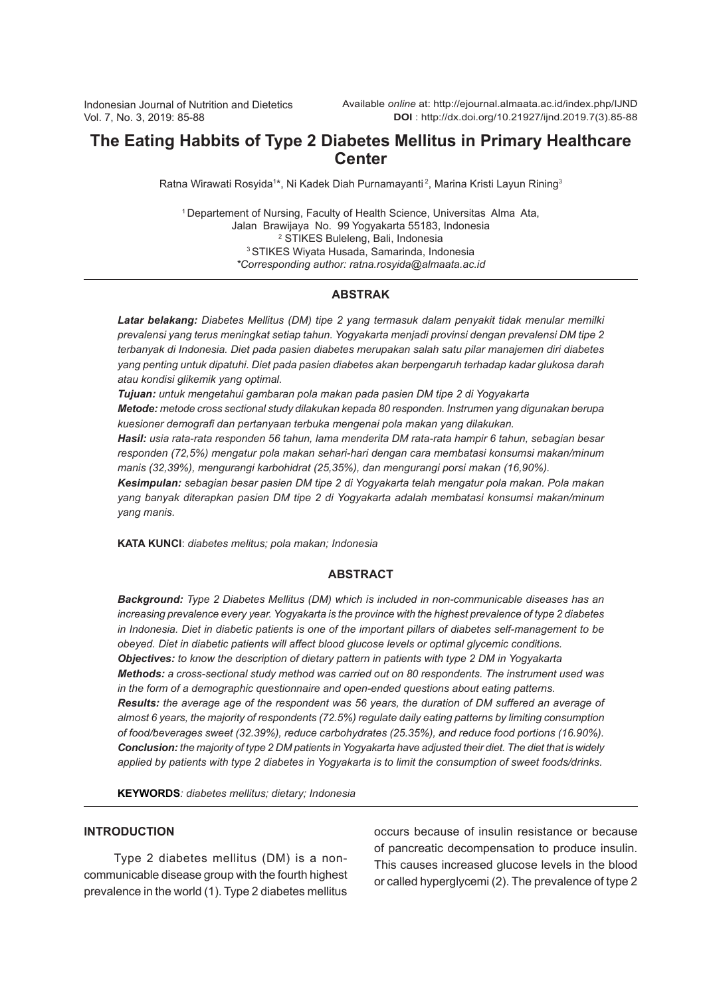# **The Eating Habbits of Type 2 Diabetes Mellitus in Primary Healthcare Center**

Ratna Wirawati Rosyida1\*, Ni Kadek Diah Purnamayanti<sup>2</sup>, Marina Kristi Layun Rining<sup>3</sup>

<sup>1</sup> Departement of Nursing, Faculty of Health Science, Universitas Alma Ata, Jalan Brawijaya No. 99 Yogyakarta 55183, Indonesia 2 STIKES Buleleng, Bali, Indonesia 3 STIKES Wiyata Husada, Samarinda, Indonesia *\*Corresponding author: ratna.rosyida@almaata.ac.id*

## **ABSTRAK**

*Latar belakang: Diabetes Mellitus (DM) tipe 2 yang termasuk dalam penyakit tidak menular memilki prevalensi yang terus meningkat setiap tahun. Yogyakarta menjadi provinsi dengan prevalensi DM tipe 2 terbanyak di Indonesia. Diet pada pasien diabetes merupakan salah satu pilar manajemen diri diabetes yang penting untuk dipatuhi. Diet pada pasien diabetes akan berpengaruh terhadap kadar glukosa darah atau kondisi glikemik yang optimal.*

*Tujuan: untuk mengetahui gambaran pola makan pada pasien DM tipe 2 di Yogyakarta*

*Metode: metode cross sectional study dilakukan kepada 80 responden. Instrumen yang digunakan berupa kuesioner demografi dan pertanyaan terbuka mengenai pola makan yang dilakukan.* 

*Hasil: usia rata-rata responden 56 tahun, lama menderita DM rata-rata hampir 6 tahun, sebagian besar responden (72,5%) mengatur pola makan sehari-hari dengan cara membatasi konsumsi makan/minum manis (32,39%), mengurangi karbohidrat (25,35%), dan mengurangi porsi makan (16,90%).* 

*Kesimpulan: sebagian besar pasien DM tipe 2 di Yogyakarta telah mengatur pola makan. Pola makan yang banyak diterapkan pasien DM tipe 2 di Yogyakarta adalah membatasi konsumsi makan/minum yang manis.*

**KATA KUNCI**: *diabetes melitus; pola makan; Indonesia*

### **ABSTRACT**

*Background: Type 2 Diabetes Mellitus (DM) which is included in non-communicable diseases has an increasing prevalence every year. Yogyakarta is the province with the highest prevalence of type 2 diabetes in Indonesia. Diet in diabetic patients is one of the important pillars of diabetes self-management to be obeyed. Diet in diabetic patients will affect blood glucose levels or optimal glycemic conditions. Objectives: to know the description of dietary pattern in patients with type 2 DM in Yogyakarta Methods: a cross-sectional study method was carried out on 80 respondents. The instrument used was in the form of a demographic questionnaire and open-ended questions about eating patterns. Results: the average age of the respondent was 56 years, the duration of DM suffered an average of almost 6 years, the majority of respondents (72.5%) regulate daily eating patterns by limiting consumption of food/beverages sweet (32.39%), reduce carbohydrates (25.35%), and reduce food portions (16.90%). Conclusion: the majority of type 2 DM patients in Yogyakarta have adjusted their diet. The diet that is widely applied by patients with type 2 diabetes in Yogyakarta is to limit the consumption of sweet foods/drinks.*

**KEYWORDS***: diabetes mellitus; dietary; Indonesia*

### **INTRODUCTION**

Type 2 diabetes mellitus (DM) is a noncommunicable disease group with the fourth highest prevalence in the world (1). Type 2 diabetes mellitus

occurs because of insulin resistance or because of pancreatic decompensation to produce insulin. This causes increased glucose levels in the blood or called hyperglycemi (2). The prevalence of type 2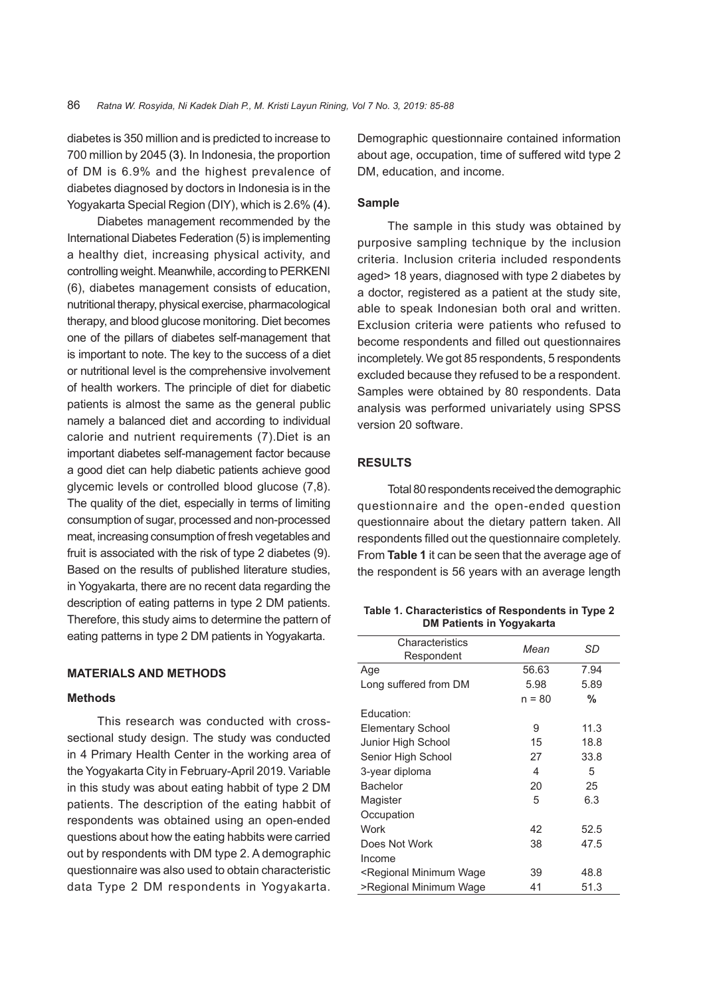diabetes is 350 million and is predicted to increase to 700 million by 2045 (3). In Indonesia, the proportion of DM is 6.9% and the highest prevalence of diabetes diagnosed by doctors in Indonesia is in the Yogyakarta Special Region (DIY), which is 2.6% (4).

Diabetes management recommended by the International Diabetes Federation (5) is implementing a healthy diet, increasing physical activity, and controlling weight. Meanwhile, according to PERKENI (6), diabetes management consists of education, nutritional therapy, physical exercise, pharmacological therapy, and blood glucose monitoring. Diet becomes one of the pillars of diabetes self-management that is important to note. The key to the success of a diet or nutritional level is the comprehensive involvement of health workers. The principle of diet for diabetic patients is almost the same as the general public namely a balanced diet and according to individual calorie and nutrient requirements (7).Diet is an important diabetes self-management factor because a good diet can help diabetic patients achieve good glycemic levels or controlled blood glucose (7,8). The quality of the diet, especially in terms of limiting consumption of sugar, processed and non-processed meat, increasing consumption of fresh vegetables and fruit is associated with the risk of type 2 diabetes (9). Based on the results of published literature studies, in Yogyakarta, there are no recent data regarding the description of eating patterns in type 2 DM patients. Therefore, this study aims to determine the pattern of eating patterns in type 2 DM patients in Yogyakarta.

## **MATERIALS AND METHODS**

#### **Methods**

This research was conducted with crosssectional study design. The study was conducted in 4 Primary Health Center in the working area of the Yogyakarta City in February-April 2019. Variable in this study was about eating habbit of type 2 DM patients. The description of the eating habbit of respondents was obtained using an open-ended questions about how the eating habbits were carried out by respondents with DM type 2. A demographic questionnaire was also used to obtain characteristic data Type 2 DM respondents in Yogyakarta.

Demographic questionnaire contained information about age, occupation, time of suffered witd type 2 DM, education, and income.

#### **Sample**

The sample in this study was obtained by purposive sampling technique by the inclusion criteria. Inclusion criteria included respondents aged> 18 years, diagnosed with type 2 diabetes by a doctor, registered as a patient at the study site, able to speak Indonesian both oral and written. Exclusion criteria were patients who refused to become respondents and filled out questionnaires incompletely. We got 85 respondents, 5 respondents excluded because they refused to be a respondent. Samples were obtained by 80 respondents. Data analysis was performed univariately using SPSS version 20 software.

## **RESULTS**

Total 80 respondents received the demographic questionnaire and the open-ended question questionnaire about the dietary pattern taken. All respondents filled out the questionnaire completely. From **Table 1** it can be seen that the average age of the respondent is 56 years with an average length

**Table 1. Characteristics of Respondents in Type 2 DM Patients in Yogyakarta**

| Characteristics<br>Respondent                                           | Mean     | SD   |
|-------------------------------------------------------------------------|----------|------|
| Age                                                                     | 56.63    | 7.94 |
| Long suffered from DM                                                   | 5.98     | 5.89 |
|                                                                         | $n = 80$ | %    |
| Education:                                                              |          |      |
| Elementary School                                                       | 9        | 11.3 |
| Junior High School                                                      | 15       | 18.8 |
| Senior High School                                                      | 27       | 33.8 |
| 3-year diploma                                                          | 4        | 5    |
| Bachelor                                                                | 20       | 25   |
| Magister                                                                | 5        | 6.3  |
| Occupation                                                              |          |      |
| Work                                                                    | 42       | 52.5 |
| Does Not Work                                                           | 38       | 47.5 |
| Income                                                                  |          |      |
| <regional minimum="" td="" wage<=""><td>39</td><td>48.8</td></regional> | 39       | 48.8 |
| >Regional Minimum Wage                                                  | 41       | 51.3 |
|                                                                         |          |      |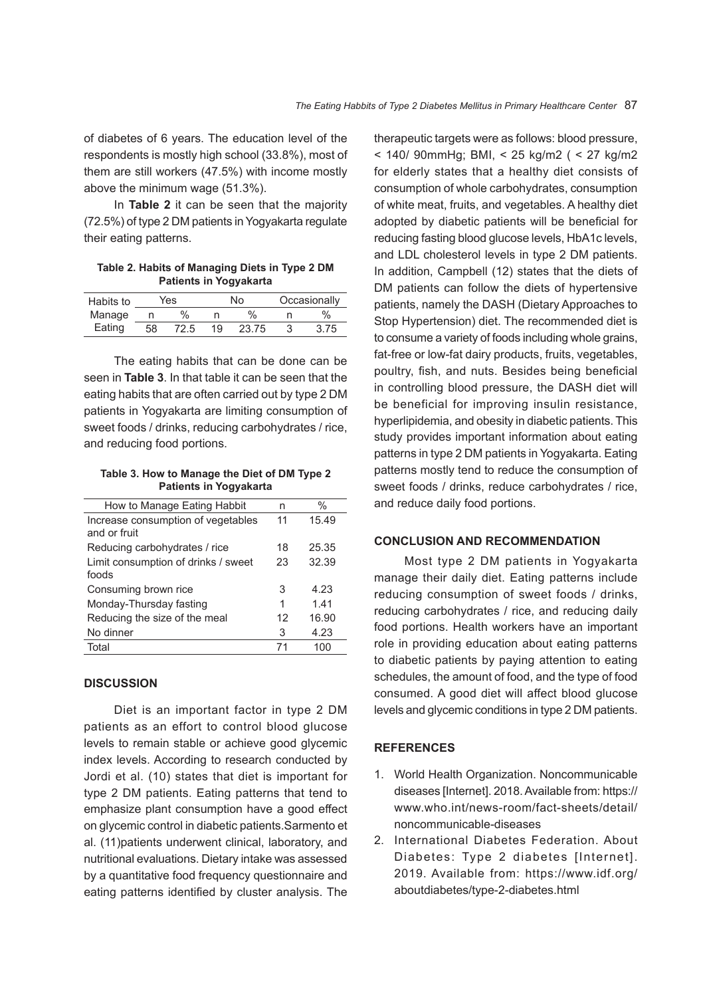of diabetes of 6 years. The education level of the respondents is mostly high school (33.8%), most of them are still workers (47.5%) with income mostly above the minimum wage (51.3%).

In **Table 2** it can be seen that the majority (72.5%) of type 2 DM patients in Yogyakarta regulate their eating patterns.

**Table 2. Habits of Managing Diets in Type 2 DM Patients in Yogyakarta**

| Habits to | Yes |      | No |       | Occasionally |      |
|-----------|-----|------|----|-------|--------------|------|
| Manage    |     | $\%$ |    | $\%$  |              | $\%$ |
| Eating    | 58  | 72.5 | 19 | 23.75 |              | 3.75 |

The eating habits that can be done can be seen in **Table 3**. In that table it can be seen that the eating habits that are often carried out by type 2 DM patients in Yogyakarta are limiting consumption of sweet foods / drinks, reducing carbohydrates / rice, and reducing food portions.

**Table 3. How to Manage the Diet of DM Type 2 Patients in Yogyakarta**

| How to Manage Eating Habbit                        | n  | %     |
|----------------------------------------------------|----|-------|
| Increase consumption of vegetables<br>and or fruit | 11 | 15.49 |
| Reducing carbohydrates / rice                      | 18 | 25.35 |
| Limit consumption of drinks / sweet<br>foods       | 23 | 32.39 |
| Consuming brown rice                               | 3  | 4.23  |
| Monday-Thursday fasting                            | 1  | 1.41  |
| Reducing the size of the meal                      | 12 | 16.90 |
| No dinner                                          | 3  | 4.23  |
| Total                                              | 71 | 100   |

## **DISCUSSION**

Diet is an important factor in type 2 DM patients as an effort to control blood glucose levels to remain stable or achieve good glycemic index levels. According to research conducted by Jordi et al. (10) states that diet is important for type 2 DM patients. Eating patterns that tend to emphasize plant consumption have a good effect on glycemic control in diabetic patients.Sarmento et al. (11)patients underwent clinical, laboratory, and nutritional evaluations. Dietary intake was assessed by a quantitative food frequency questionnaire and eating patterns identified by cluster analysis. The

therapeutic targets were as follows: blood pressure, < 140/ 90mmHg; BMI, < 25 kg/m2 ( < 27 kg/m2 for elderly states that a healthy diet consists of consumption of whole carbohydrates, consumption of white meat, fruits, and vegetables. A healthy diet adopted by diabetic patients will be beneficial for reducing fasting blood glucose levels, HbA1c levels, and LDL cholesterol levels in type 2 DM patients. In addition, Campbell (12) states that the diets of DM patients can follow the diets of hypertensive patients, namely the DASH (Dietary Approaches to Stop Hypertension) diet. The recommended diet is to consume a variety of foods including whole grains, fat-free or low-fat dairy products, fruits, vegetables, poultry, fish, and nuts. Besides being beneficial in controlling blood pressure, the DASH diet will be beneficial for improving insulin resistance, hyperlipidemia, and obesity in diabetic patients. This study provides important information about eating patterns in type 2 DM patients in Yogyakarta. Eating patterns mostly tend to reduce the consumption of sweet foods / drinks, reduce carbohydrates / rice, and reduce daily food portions.

## **CONCLUSION AND RECOMMENDATION**

Most type 2 DM patients in Yogyakarta manage their daily diet. Eating patterns include reducing consumption of sweet foods / drinks, reducing carbohydrates / rice, and reducing daily food portions. Health workers have an important role in providing education about eating patterns to diabetic patients by paying attention to eating schedules, the amount of food, and the type of food consumed. A good diet will affect blood glucose levels and glycemic conditions in type 2 DM patients.

### **REFERENCES**

- 1. World Health Organization. Noncommunicable diseases [Internet]. 2018. Available from: https:// www.who.int/news-room/fact-sheets/detail/ noncommunicable-diseases
- 2. International Diabetes Federation. About Diabetes: Type 2 diabetes [Internet]. 2019. Available from: https://www.idf.org/ aboutdiabetes/type-2-diabetes.html